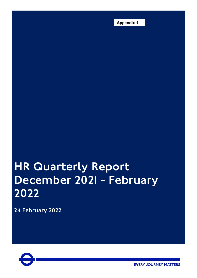**Appendix 1**

# HR Quarterly Report December 2021 - February 2022

24 February 2022



**EVERY JOURNEY MATTERS**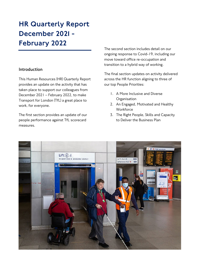### HR Quarterly Report December 2021 - February 2022

#### **Introduction**

This Human Resources (HR) Quarterly Report provides an update on the activity that has taken place to support our colleagues from December 2021 – February 2022, to make Transport for London (TfL) a great place to work, for everyone.

The first section provides an update of our people performance against TfL scorecard measures.

The second section includes detail on our ongoing response to Covid-19, including our move toward office re-occupation and transition to a hybrid way of working.

The final section updates on activity delivered across the HR function aligning to three of our top People Priorities:

- 1. A More Inclusive and Diverse **Organisation**
- 2. An Engaged, Motivated and Healthy **Workforce**
- 3. The Right People, Skills and Capacity to Deliver the Business Plan

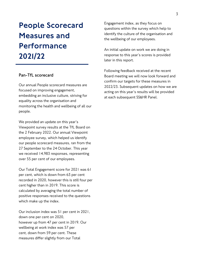## People Scorecard Measures and Performance 2021/22

#### **Pan-TfL scorecard**

Our annual People scorecard measures are focused on improving engagement, embedding an inclusive culture, striving for equality across the organisation and monitoring the health and wellbeing of all our people.

We provided an update on this year's Viewpoint survey results at the TfL Board on the 2 February 2022. Our annual Viewpoint employee survey, which helped us identify our people scorecard measures, ran from the 27 September to the 24 October. This year we received 14,983 responses, representing over 55 per cent of our employees.

Our Total Engagement score for 2021 was 61 per cent, which is down from 63 per cent recorded in 2020, however this is still four per cent higher than in 2019. This score is calculated by averaging the total number of positive responses received to the questions which make up the index.

Our inclusion index was 51 per cent in 2021, down one per cent on 2020, however up from 47 per cent in 2019. Our wellbeing at work index was 57 per cent, down from 59 per cent. These measures differ slightly from our Total

Engagement index, as they focus on questions within the survey which help to identify the culture of the organisation and the wellbeing of our employees.

An initial update on work we are doing in response to this year's scores is provided later in this report.

Following feedback received at the recent Board meeting we will now look forward and confirm our targets for these measures in 2022/23. Subsequent updates on how we are acting on this year's results will be provided at each subsequent SS&HR Panel.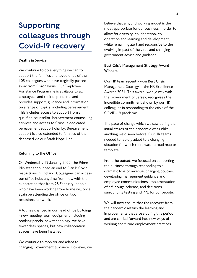### Supporting colleagues through Covid-19 recovery

#### **Deaths in Service**

We continue to do everything we can to support the families and loved ones of the 105 colleagues who have tragically passed away from Coronavirus. Our Employee Assistance Programme is available to all employees and their dependents and provides support, guidance and information on a range of topics, including bereavement. This includes access to support from a qualified counsellor, bereavement counselling services and access to Cruse, a dedicated bereavement support charity. Bereavement support is also extended to families of the deceased via our Sarah Hope Line.

#### **Returning to the Office**

On Wednesday 19 January 2022, the Prime Minister announced an end to Plan B Covid restrictions in England. Colleagues can access our office hubs anytime from now with the expectation that from 28 February, people who have been working from home will once again be attending the office on two occasions per week.

A lot has changed in our head office buildings - new meeting room equipment including booking panels, new technology, we have fewer desk spaces, but new collaboration spaces have been installed.

We continue to monitor and adapt to changing Government guidance. However, we

believe that a hybrid working model is the most appropriate for our business in order to allow for diversity, collaboration, cooperation and learning and development, while remaining alert and responsive to the evolving impact of the virus and changing government advice and guidance.

#### **Best Crisis Management Strategy Award Winners**

Our HR team recently won Best Crisis Management Strategy at the HR Excellence Awards 2021. This award, won jointly with the Government of Jersey, recognises the incredible commitment shown by our HR colleagues in responding to the crisis of the COVID-19 pandemic.

The pace of change which we saw during the initial stages of the pandemic was unlike anything we'd seen before. Our HR teams needed to rapidly adapt to a changing situation for which there was no road map or template.

From the outset, we focused on supporting the business through responding to a dramatic loss of revenue, changing policies, developing management guidance and employee communications, implementation of a furlough scheme, and decisions surrounding testing and PPE for our people.

We will now ensure that the recovery from the pandemic retains the learning and improvements that arose during this period and are carried forward into new ways of working and future employment practices.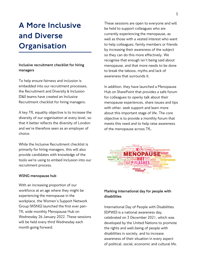### A More Inclusive and Diverse **Organisation**

#### **Inclusive recruitment checklist for hiring managers**

To help ensure fairness and inclusion is embedded into our recruitment processes, the Recruitment and Diversity & Inclusion (D&I) teams have created an Inclusive Recruitment checklist for hiring managers.

A key TfL equality objective is to increase the diversity of our organisation at every level, so that it better reflects the diversity of London and we're therefore seen as an employer of choice.

While the Inclusive Recruitment checklist is primarily for hiring managers, this will also provide candidates with knowledge of the tools we're using to embed inclusion into our recruitment process.

#### **WSNG menopause hub**

With an increasing proportion of our workforce at an age where they might be experiencing the menopause in the workplace, the Women's Support Network Group (WSNG) launched the first ever pan-TfL wide monthly Menopause Hub on Wednesday 26 January 2022. These sessions will be held every third Wednesday each month going forward.

These sessions are open to everyone and will be held to support colleagues who are currently experiencing the menopause, as well as those with a vested interest who want to help colleagues, family members or friends by increasing their awareness of the subject so they can do this more effectively. We recognise that enough isn't being said about menopause, and that more needs to be done to break the taboos, myths and lack of awareness that surrounds it.

In addition, they have launched a Menopause Hub on SharePoint that provides a safe forum for colleagues to openly talk about their menopause experiences, share issues and tips with other, seek support and learn more about this important stage of life. The core objective is to provide a monthly forum that meets this need and to help raise awareness of the menopause across TfL.



#### **Marking international day for people with disabilities**

International Day of People with Disabilities (IDPWD) is a national awareness day, celebrated on 3 December 2021, which was developed by the United Nations to promote the rights and well-being of people with disabilities in society, and to increase awareness of their situation in every aspect of political, social, economic and cultural life.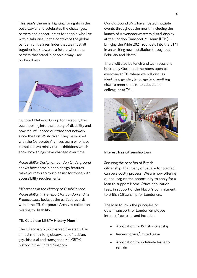This year's theme is 'Fighting for rights in the post-Covid' and celebrates the challenges, barriers and opportunities for people who live with disabilities, in the context of the global pandemic. It's a reminder that we must all together look towards a future where the barriers that stand in people's way - are broken down.



Our Staff Network Group for Disability has been looking into the history of disability and how it's influenced our transport network since the first World War. They've worked with the Corporate Archives team who have compiled two mini virtual exhibitions which show how things have changed over time.

*Accessibility Design on London Underground* shows how some hidden design features make journeys so much easier for those with accessibility requirements.

*Milestones in the History of Disability and Accessibility in Transport for London and its Predecessors* looks at the earliest records within the TfL Corporate Archives collection relating to disability.

#### **TfL Celebrate LGBT+ History Month**

The 1 February 2022 marked the start of an annual month-long observance of lesbian, gay, bisexual and transgender+ (LGBT+) history in the United Kingdom.

Our Outbound SNG have hosted multiple events throughout the month including the launch of #everystorymatters digital display at the London Transport Museum (LTM) – bringing the Pride 2021 roundels into the LTM in an exciting new installation throughout February and March.

There will also be lunch and learn sessions hosted by Outbound members open to everyone at TfL where we will discuss identities, gender, language (and anything else) to meet our aim to educate our colleagues at TfL.



#### **Interest free citizenship loan**

Securing the benefits of British citizenship, that many of us take for granted, can be a costly process. We are now offering our colleagues the opportunity to apply for a loan to support Home Office application fees, in support of the Mayor's commitment to British Citizenship for Londoners.

The loan follows the principles of other Transport for London employee interest free loans and includes:

- Application for British citizenship
- Renewing visa/limited leave
- Application for indefinite leave to remain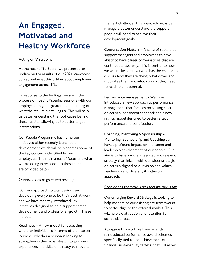### An Engaged, Motivated and Healthy Workforce

#### **Acting on Viewpoint**

At the recent TfL Board, we presented an update on the results of our 2021 Viewpoint Survey and what this told us about employee engagement across TfL.

In response to the findings, we are in the process of hosting listening sessions with our employees to get a greater understanding of what the results are telling us. This will help us better understand the root cause behind these results, allowing us to better target interventions.

Our People Programme has numerous initiatives either recently launched or in development which will help address some of the key concerns identified by our employees. The main areas of focus and what we are doing in response to these concerns are provided below:

#### *Opportunities to grow and develop*

Our new approach to talent prioritises developing everyone to be their best at work, and we have recently introduced key initiatives designed to help support career development and professional growth. These include:

**Readiness** – A new model for assessing where an individual is in terms of their career journey - whether a person is looking to strengthen in their role, stretch to gain new experiences and skills or is ready to move to

the next challenge. This approach helps us managers better understand the support people will need to achieve their development goals.

**Conversation Matters** – A suite of tools that support managers and employees to have ability to have career conversations that are continuous, two-way. This is central to how we will make sure everyone has the chance to discuss how they are doing, what drives and motivates them and what support they need to reach their potential.

**Performance management** - We have introduced a new approach to performance management that focuses on setting clear objectives, consistent feedback and a new ratings model designed to better reflect performance and contribution.

#### **Coaching, Mentoring & Sponsorship** -

Mentoring, Sponsorship and Coaching can have a profound impact on the career and leadership development of our people. Our aim is to have a more integrated and relevant strategy that links in with our wider strategic objectives aligned to our vision and values, Leadership and Diversity & Inclusion approach.

#### *Considering the work, I do I feel my pay is fair*

Our emerging **Reward Strategy** is looking to help modernise our existing pay frameworks to better align to the external market. This will help aid attraction and retention for scarce skill roles.

Alongside this work we have recently reintroduced performance award schemes, specifically tied to the achievement of financial sustainability targets, that will allow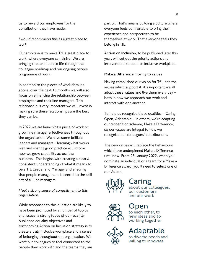us to reward our employees for the contribution they have made.

#### *I would recommend this as a great place to work*

Our ambition is to make TfL a great place to work, where everyone can thrive. We are bringing that ambition to life through the colleague roadmap and our ongoing people programme of work.

In addition to the pieces of work detailed above, over the next 18 months we will also focus on enhancing the relationship between employees and their line managers. This relationship is very important we will invest in making sure these relationships are the best they can be.

In 2022 we are launching a piece of work to grow line manager effectiveness throughout the organisation. We have some brilliant leaders and managers – learning what works well and sharing good practice will inform how we grow capability across the business. This begins with creating a clear & consistent understanding of what it means to be a TfL Leader and Manager and ensuring that people management is central to the skill set of all line managers.

#### *I feel a strong sense of commitment to this organisation*

While responses to this question are likely to have been prompted by a number of topics and issues, a strong focus of our recently published equality objectives and forthcoming Action on Inclusion strategy is to create a truly inclusive workplace and a sense of belonging throughout our organisation. We want our colleagues to feel connected to the people they work with and the teams they are part of. That's means building a culture where everyone feels comfortable to bring their experience and perspectives to be themselves at work. That everyone feels they belong in TfL.

**Action on Inclusion**, to be published later this year, will set out the priority actions and interventions to build an inclusive workplace.

#### **Make a Difference moving to values**

Having established our vision for TfL, and the values which support it, it's important we all adopt these values and live them every day – both in how we approach our work and interact with one another.

To help us recognise these qualities – Caring, Open, Adaptable – in others, we're adapting our recognition scheme, Make a Difference, so our values are integral to how we recognise our colleagues' contributions.

The new values will replace the Behaviours which have underpinned Make a Difference until now. From 25 January 2022, when you nominate an individual or a team for a Make a Difference award, you'll need to select one of our Values.



### Caring

about our colleagues. our customers and our work



# to each other to

new ideas and to working together



### daptable

to diverse needs and willing to innovate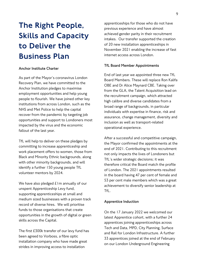# The Right People, Skills and Capacity to Deliver the Business Plan

#### **Anchor Institute Charter**

As part of the Mayor's coronavirus London Recovery Plan, we have committed to the Anchor Institution pledges to maximise employment opportunities and help young people to flourish. We have joined other key institutions from across London, such as the NHS and Met Police to help the capital recover from the pandemic by targeting job opportunities and support to Londoners most impacted by the virus and the economic fallout of the last year.

TfL will help to deliver on these pledges by committing to increase apprenticeship and work placement offers to women, those from Black and Minority Ethnic backgrounds, along with other minority backgrounds, and will identify a further 150 young people TfL volunteer mentors by 2024.

We have also pledged  $£1m$  annually of our unspent Apprenticeship Levy fund, supporting apprenticeships at small and medium sized businesses with a proven track record of diverse hires. We will prioritise funds to those organisations that create opportunities in the growth of digital or green skills across the Capital.

The first £300k transfer of our levy fund has been agreed to Vorboss, a fibre optic installation company who have made great strides in improving access to installation

apprenticeships for those who do not have previous experience and have almost achieved gender parity in their recruitment intakes. Our transfer supported the creation of 20 new installation apprenticeships in November 2021 enabling the increase of fast internet access across London.

#### **TfL Board Member Appointments**

End of last year we appointed three new TfL Board Members. These will replace Ron Kalifa OBE and Dr Alice Maynard CBE. Taking over from the GLA, the Talent Acquisition lead on the recruitment campaign, which attracted high calibre and diverse candidates from a broad range of backgrounds, in particular individuals with expertise in finance, risk and assurance, change management, diversity and inclusion as well as transport-related operational experience.

After a successful and competitive campaign, the Mayor confirmed the appointments at the end of 2021. Contributing to this recruitment not only impacts the lives of Londoners but TfL's wider strategic decisions; it was therefore critical the Board match the profile of London. The 2021 appointments resulted in the board having 47 per cent of female and 53 per cent male members which was a great achievement to diversify senior leadership at TfL.

#### **Apprentice Induction**

On the 17 January 2022 we welcomed our latest Apprentice cohort, with a further 24 apprentices joining apprenticeships across Tech and Data, MPD, City Planning, Surface and Rail for London Infrastructure. A further 33 apprentices joined at the end of February on our London Underground Engineering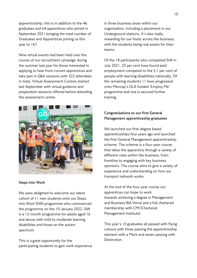apprenticeship, this is in addition to the 46 graduates and 64 apprentices who joined in September 2021 bringing the total number of Graduates and Apprentices joining us this year to 167.

Nine virtual events had been held over the course of our recruitment campaign during the summer last year for those interested in applying to hear from current apprentices and take part in Q&A sessions with 322 attendees in total. Virtual Assessment Centres started last September with virtual guidance and preparation sessions offered before attending the assessment centre.



#### **Steps into Work**

We were delighted to welcome our latest cohort of 11 new students onto our Steps into Work (SiW) programme who commenced the programme on the 10 January 2022. SiW is a 12-month programme for adults aged 16 and above with mild to moderate learning disabilities and those on the autism spectrum.

This is a great opportunity for the participating students to gain work experience

in three business areas within our organisation, including a placement in our Underground stations. It's also really rewarding for our hosts across the business, with the students being real assets for their teams.

Of the 18 participants who completed SiW in July 2021, 33 per cent have found paid employment compared to the 5.1 per cent of people with learning disabilities nationally. Of the remaining students 11 have progressed onto Mencap's GLA funded 'Employ Me' programme and one is secured further training.

#### **Congratulations to our first General Management apprenticeship graduates**

We launched our first-degree based apprenticeships four years ago and launched the first General Management apprenticeship scheme. The scheme is a four-year course that takes the apprentice through a variety of different roles within the business, from frontline to engaging with key business sponsors. The course aims to give a variety of experience and understanding on how our transport network works.

At the end of the four-year course our apprentices can hope to work towards achieving a degree in Management and Business (BA Hons) and a full chartered membership with CMI (Chartered Management Institute).

This year's 10 graduates all passed with flying colours with three passing the apprenticeship element with a Merit and seven passing with Distinction.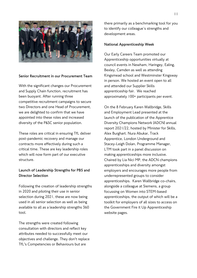

#### **Senior Recruitment in our Procurement Team**

With the significant changes our Procurement and Supply Chain function, recruitment has been buoyant. After running three competitive recruitment campaigns to secure two Directors and one Head of Procurement, we are delighted to confirm that we have appointed into these roles and increased diversity of the P&SC senior population.

These roles are critical in ensuring TfL deliver post-pandemic recovery and manage our contracts more effectively during such a critical time. These are key leadership roles which will now form part of our executive structure.

#### **Launch of Leadership Strengths for PB5 and Director Selection**

Following the creation of leadership strengths in 2020 and piloting their use in senior selection during 2021, these are now being used in all senior selection as well as being available to all as a leadership strengths 360 tool.

The strengths were created following consultation with directors and reflect key attributes needed to successfully meet our objectives and challenge. They don't replace TfL's Competencies or Behaviours but are

there primarily as a benchmarking tool for you to identify our colleague's strengths and development areas.

#### **National Apprenticeship Week**

Our Early Careers Team promoted our Apprenticeship opportunities virtually at council events in Newham, Haringey, Ealing, Bexley, Camden as well as attending Kingsmead school and Westminster Kingsway in person. We hosted an event open to all and attended our Supplier Skills apprenticeship fair. We reached approximately 100+ participants per event.

On the 8 February Karen Wallbridge, Skills and Employment Lead presented at the launch of the publication of the Apprentice Diversity Champions Network (ADCN) annual report 2021/22, hosted by Minister for Skills, Alex Burghart. Nura Abukar, Track Apprentice, London Underground and Stacey-Leigh Dolan, Programme Manager, LTM took part in a panel discussion on making apprenticeships more inclusive. Chaired by Lia Nici MP, the ADCN champions apprenticeships and diversity amongst employers and encourages more people from underrepresented groups to consider apprenticeships. Karen Wallbridge co-chairs, alongside a colleague at Siemens, a group focussing on Women into STEM-based apprenticeships, the output of which will be a toolkit for employers of all sizes to access on the Government Fire it Up Apprenticeship website pages.